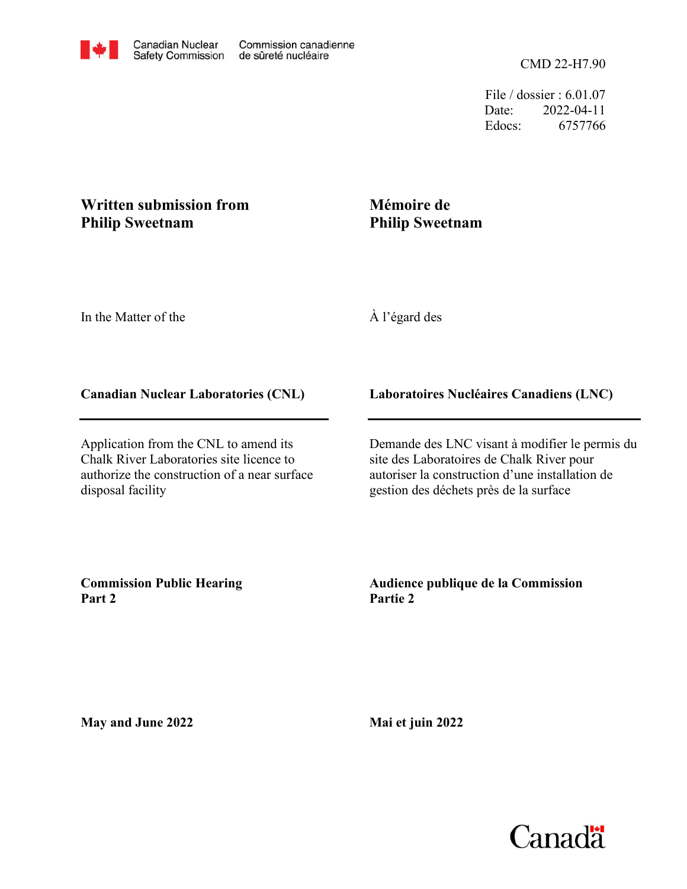File / dossier : 6.01.07 Date: 2022-04-11 Edocs: 6757766

## **Written submission from Philip Sweetnam**

## **Mémoire de Philip Sweetnam**

In the Matter of the

À l'égard des

## **Canadian Nuclear Laboratories (CNL)**

Application from the CNL to amend its Chalk River Laboratories site licence to authorize the construction of a near surface disposal facility

**Laboratoires Nucléaires Canadiens (LNC)**

Demande des LNC visant à modifier le permis du site des Laboratoires de Chalk River pour autoriser la construction d'une installation de gestion des déchets près de la surface

**Commission Public Hearing Part 2**

**Audience publique de la Commission Partie 2**

**May and June 2022**

**Mai et juin 2022**

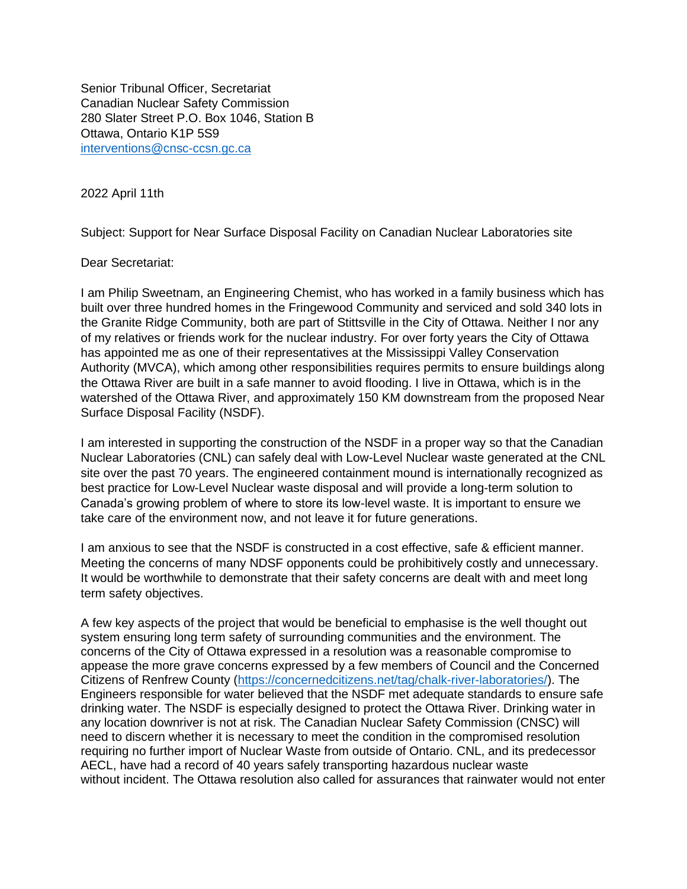Senior Tribunal Officer, Secretariat Canadian Nuclear Safety Commission 280 Slater Street P.O. Box 1046, Station B Ottawa, Ontario K1P 5S9 [interventions@cnsc-ccsn.gc.ca](mailto:interventions@cnsc-ccsn.gc.ca)

2022 April 11th

Subject: Support for Near Surface Disposal Facility on Canadian Nuclear Laboratories site

Dear Secretariat:

I am Philip Sweetnam, an Engineering Chemist, who has worked in a family business which has built over three hundred homes in the Fringewood Community and serviced and sold 340 lots in the Granite Ridge Community, both are part of Stittsville in the City of Ottawa. Neither I nor any of my relatives or friends work for the nuclear industry. For over forty years the City of Ottawa has appointed me as one of their representatives at the Mississippi Valley Conservation Authority (MVCA), which among other responsibilities requires permits to ensure buildings along the Ottawa River are built in a safe manner to avoid flooding. I live in Ottawa, which is in the watershed of the Ottawa River, and approximately 150 KM downstream from the proposed Near Surface Disposal Facility (NSDF).

I am interested in supporting the construction of the NSDF in a proper way so that the Canadian Nuclear Laboratories (CNL) can safely deal with Low-Level Nuclear waste generated at the CNL site over the past 70 years. The engineered containment mound is internationally recognized as best practice for Low-Level Nuclear waste disposal and will provide a long-term solution to Canada's growing problem of where to store its low-level waste. It is important to ensure we take care of the environment now, and not leave it for future generations.

I am anxious to see that the NSDF is constructed in a cost effective, safe & efficient manner. Meeting the concerns of many NDSF opponents could be prohibitively costly and unnecessary. It would be worthwhile to demonstrate that their safety concerns are dealt with and meet long term safety objectives.

A few key aspects of the project that would be beneficial to emphasise is the well thought out system ensuring long term safety of surrounding communities and the environment. The concerns of the City of Ottawa expressed in a resolution was a reasonable compromise to appease the more grave concerns expressed by a few members of Council and the Concerned Citizens of Renfrew County [\(https://concernedcitizens.net/tag/chalk-river-laboratories/\)](https://concernedcitizens.net/tag/chalk-river-laboratories/). The Engineers responsible for water believed that the NSDF met adequate standards to ensure safe drinking water. The NSDF is especially designed to protect the Ottawa River. Drinking water in any location downriver is not at risk. The Canadian Nuclear Safety Commission (CNSC) will need to discern whether it is necessary to meet the condition in the compromised resolution requiring no further import of Nuclear Waste from outside of Ontario. CNL, and its predecessor AECL, have had a record of 40 years safely transporting hazardous nuclear waste without incident. The Ottawa resolution also called for assurances that rainwater would not enter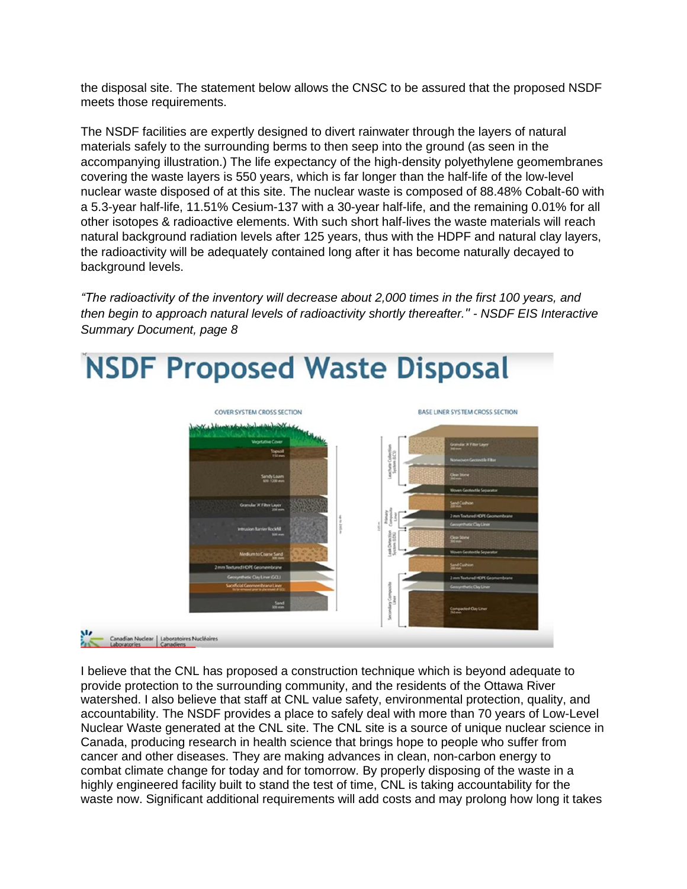the disposal site. The statement below allows the CNSC to be assured that the proposed NSDF meets those requirements.

The NSDF facilities are expertly designed to divert rainwater through the layers of natural materials safely to the surrounding berms to then seep into the ground (as seen in the accompanying illustration.) The life expectancy of the high-density polyethylene geomembranes covering the waste layers is 550 years, which is far longer than the half-life of the low-level nuclear waste disposed of at this site. The nuclear waste is composed of 88.48% Cobalt-60 with a 5.3-year half-life, 11.51% Cesium-137 with a 30-year half-life, and the remaining 0.01% for all other isotopes & radioactive elements. With such short half-lives the waste materials will reach natural background radiation levels after 125 years, thus with the HDPF and natural clay layers, the radioactivity will be adequately contained long after it has become naturally decayed to background levels.

*"The radioactivity of the inventory will decrease about 2,000 times in the first 100 years, and then begin to approach natural levels of radioactivity shortly thereafter." - NSDF EIS Interactive Summary Document, page 8*

## **NSDF Proposed Waste Disposal**



I believe that the CNL has proposed a construction technique which is beyond adequate to provide protection to the surrounding community, and the residents of the Ottawa River watershed. I also believe that staff at CNL value safety, environmental protection, quality, and accountability. The NSDF provides a place to safely deal with more than 70 years of Low-Level Nuclear Waste generated at the CNL site. The CNL site is a source of unique nuclear science in Canada, producing research in health science that brings hope to people who suffer from cancer and other diseases. They are making advances in clean, non-carbon energy to combat climate change for today and for tomorrow. By properly disposing of the waste in a highly engineered facility built to stand the test of time, CNL is taking accountability for the waste now. Significant additional requirements will add costs and may prolong how long it takes